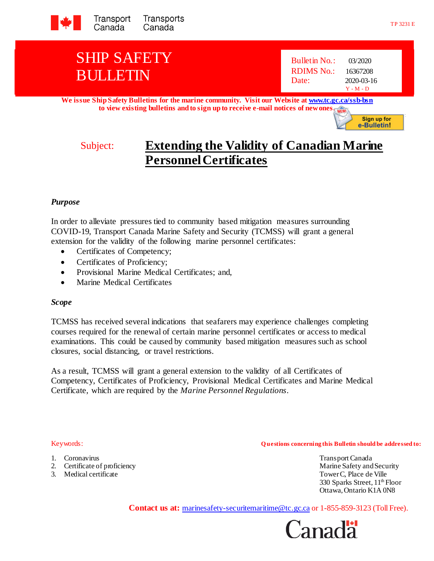

# SHIP SAFETY BULLETIN

| <b>Bulletin No.:</b> | 03/2020     |
|----------------------|-------------|
| RDIMS No.:           | 16367208    |
| Date:                | 2020-03-16  |
|                      | $Y - M - D$ |

**We issue Ship Safety Bulletins for the marine community. Visit our Website at www.tc.gc.ca/ssb-bsn to view existing bulletins and to sign up to receive e-mail notices of new ones.**

**Sign up for** e-Bulletin!

## Subject: **Extending the Validity of Canadian Marine Personnel Certificates**

### *Purpose*

In order to alleviate pressures tied to community based mitigation measures surrounding COVID-19, Transport Canada Marine Safety and Security (TCMSS) will grant a general extension for the validity of the following marine personnel certificates:

- Certificates of Competency;
- Certificates of Proficiency;
- Provisional Marine Medical Certificates; and,
- Marine Medical Certificates

### *Scope*

TCMSS has received several indications that seafarers may experience challenges completing courses required for the renewal of certain marine personnel certificates or access to medical examinations. This could be caused by community based mitigation measures such as school closures, social distancing, or travel restrictions.

As a result, TCMSS will grant a general extension to the validity of all Certificates of Competency, Certificates of Proficiency, Provisional Medical Certificates and Marine Medical Certificate, which are required by the *Marine Personnel Regulations*.

- 
- 

Keywords: **Q uestions concerning this Bulletin should be addressed to:**

1. Coronavirus Transport Canada 2. Certificate of proficiency and Security Marine Safety and Security Marine Safety and Security 3. Medical certificate Tower C, Place de Ville 330 Sparks Street, 11<sup>th</sup> Floor Ottawa, Ontario K1A 0N8

Contact us at: marinesafety-securitemaritime@tc.gc.ca or 1-855-859-3123 (Toll Free).